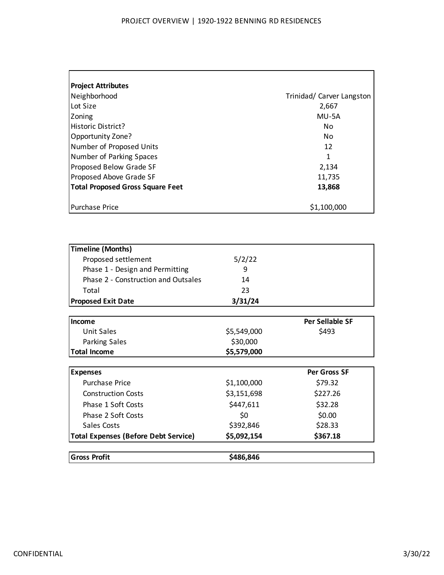| <b>Project Attributes</b>               |                           |
|-----------------------------------------|---------------------------|
| Neighborhood                            | Trinidad/ Carver Langston |
| Lot Size                                | 2,667                     |
| Zoning                                  | MU-5A                     |
| Historic District?                      | No.                       |
| Opportunity Zone?                       | No.                       |
| Number of Proposed Units                | 12                        |
| Number of Parking Spaces                | 1                         |
| Proposed Below Grade SF                 | 2,134                     |
| Proposed Above Grade SF                 | 11,735                    |
| <b>Total Proposed Gross Square Feet</b> | 13,868                    |
|                                         |                           |
| <b>Purchase Price</b>                   | \$1,100,000               |

| <b>Gross Profit</b>                         | \$486,846               |                     |
|---------------------------------------------|-------------------------|---------------------|
| <b>Total Expenses (Before Debt Service)</b> | \$5,092,154             | \$367.18            |
| Sales Costs                                 | \$392,846               | \$28.33             |
| Phase 2 Soft Costs                          | \$0                     | \$0.00              |
| Phase 1 Soft Costs                          | \$447,611               | \$32.28             |
| <b>Construction Costs</b>                   | \$3,151,698             | \$227.26            |
| <b>Purchase Price</b>                       | \$1,100,000             | \$79.32             |
| <b>Expenses</b>                             |                         | <b>Per Gross SF</b> |
|                                             |                         |                     |
| <b>Total Income</b>                         | \$5,579,000             |                     |
| Unit Sales<br><b>Parking Sales</b>          | \$5,549,000<br>\$30,000 | \$493               |
| Income                                      |                         | Per Sellable SF     |
|                                             |                         |                     |
| <b>Proposed Exit Date</b>                   | 3/31/24                 |                     |
| Total                                       | 23                      |                     |
| Phase 2 - Construction and Outsales         | 14                      |                     |
| Phase 1 - Design and Permitting             | 9                       |                     |
| Proposed settlement                         | 5/2/22                  |                     |
| <b>Timeline (Months)</b>                    |                         |                     |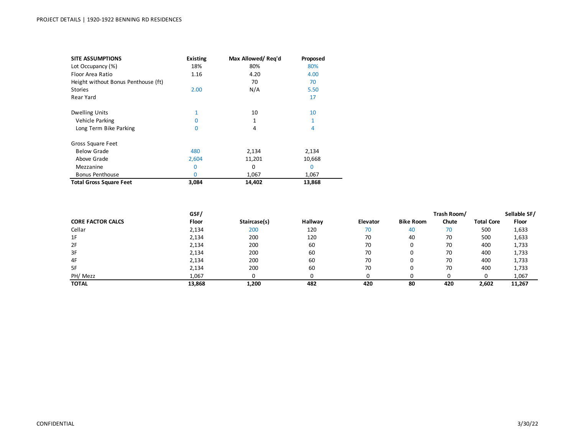| <b>SITE ASSUMPTIONS</b>             | <b>Existing</b> | Max Allowed/Reg'd | Proposed       |
|-------------------------------------|-----------------|-------------------|----------------|
| Lot Occupancy (%)                   | 18%             | 80%               | 80%            |
| Floor Area Ratio                    | 1.16            | 4.20              | 4.00           |
| Height without Bonus Penthouse (ft) |                 | 70                | 70             |
| <b>Stories</b>                      | 2.00            | N/A               | 5.50           |
| Rear Yard                           |                 |                   | 17             |
| <b>Dwelling Units</b>               | $\mathbf{1}$    | 10                | 10             |
| Vehicle Parking                     | O               | 1                 | 1              |
| Long Term Bike Parking              | 0               | 4                 | $\overline{4}$ |
| Gross Square Feet                   |                 |                   |                |
| <b>Below Grade</b>                  | 480             | 2,134             | 2,134          |
| Above Grade                         | 2,604           | 11,201            | 10,668         |
| Mezzanine                           | 0               | 0                 | 0              |
| <b>Bonus Penthouse</b>              | 0               | 1,067             | 1,067          |
| <b>Total Gross Square Feet</b>      | 3,084           | 14,402            | 13,868         |

|                          | GSF/         |              |         |                 |                  | Trash Room/ |                   | Sellable SF/ |
|--------------------------|--------------|--------------|---------|-----------------|------------------|-------------|-------------------|--------------|
| <b>CORE FACTOR CALCS</b> | <b>Floor</b> | Staircase(s) | Hallway | <b>Elevator</b> | <b>Bike Room</b> | Chute       | <b>Total Core</b> | <b>Floor</b> |
| Cellar                   | 2,134        | 200          | 120     | 70              | 40               | 70          | 500               | 1,633        |
| 1F                       | 2,134        | 200          | 120     | 70              | 40               | 70          | 500               | 1,633        |
| 2F                       | 2,134        | 200          | 60      | 70              |                  | 70          | 400               | 1,733        |
| 3F                       | 2,134        | 200          | 60      | 70              |                  | 70          | 400               | 1,733        |
| 4F                       | 2,134        | 200          | 60      | 70              |                  | 70          | 400               | 1,733        |
| 5F                       | 2,134        | 200          | 60      | 70              |                  | 70          | 400               | 1,733        |
| PH/ Mezz                 | 1,067        |              | C       |                 |                  |             |                   | 1,067        |
| <b>TOTAL</b>             | 13,868       | 1,200        | 482     | 420             | 80               | 420         | 2,602             | 11,267       |